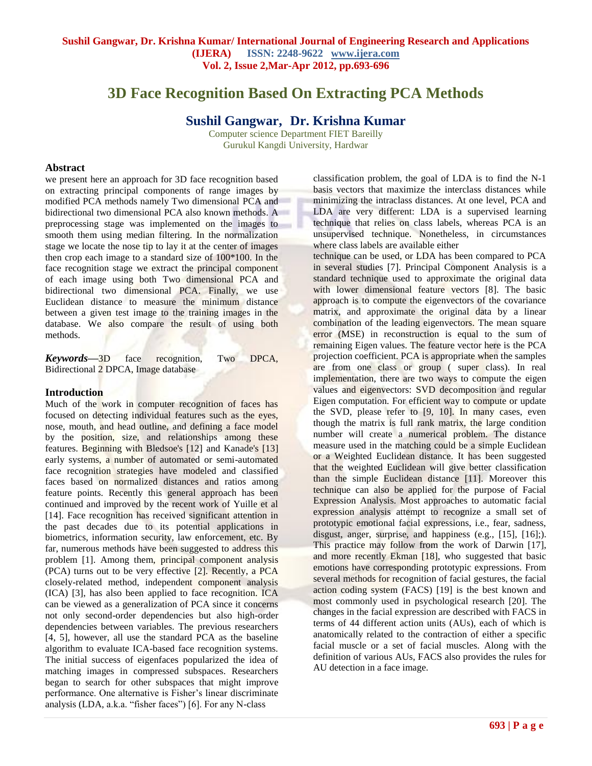# **3D Face Recognition Based On Extracting PCA Methods**

**Sushil Gangwar, Dr. Krishna Kumar**

Computer science Department FIET Bareilly Gurukul Kangdi University, Hardwar

# **Abstract**

we present here an approach for 3D face recognition based on extracting principal components of range images by modified PCA methods namely Two dimensional PCA and bidirectional two dimensional PCA also known methods. A preprocessing stage was implemented on the images to smooth them using median filtering. In the normalization stage we locate the nose tip to lay it at the center of images then crop each image to a standard size of 100\*100. In the face recognition stage we extract the principal component of each image using both Two dimensional PCA and bidirectional two dimensional PCA. Finally, we use Euclidean distance to measure the minimum distance between a given test image to the training images in the database. We also compare the result of using both methods.

*Keywords***—**3D face recognition, Two DPCA, Bidirectional 2 DPCA, Image database

# **Introduction**

Much of the work in computer recognition of faces has focused on detecting individual features such as the eyes, nose, mouth, and head outline, and defining a face model by the position, size, and relationships among these features. Beginning with Bledsoe's [12] and Kanade's [13] early systems, a number of automated or semi-automated face recognition strategies have modeled and classified faces based on normalized distances and ratios among feature points. Recently this general approach has been continued and improved by the recent work of Yuille et al [14]. Face recognition has received significant attention in the past decades due to its potential applications in biometrics, information security, law enforcement, etc. By far, numerous methods have been suggested to address this problem [1]. Among them, principal component analysis (PCA) turns out to be very effective [2]. Recently, a PCA closely-related method, independent component analysis (ICA) [3], has also been applied to face recognition. ICA can be viewed as a generalization of PCA since it concerns not only second-order dependencies but also high-order dependencies between variables. The previous researchers [4, 5], however, all use the standard PCA as the baseline algorithm to evaluate ICA-based face recognition systems. The initial success of eigenfaces popularized the idea of matching images in compressed subspaces. Researchers began to search for other subspaces that might improve performance. One alternative is Fisher's linear discriminate analysis (LDA, a.k.a. "fisher faces") [6]. For any N-class

classification problem, the goal of LDA is to find the N-1 basis vectors that maximize the interclass distances while minimizing the intraclass distances. At one level, PCA and LDA are very different: LDA is a supervised learning technique that relies on class labels, whereas PCA is an unsupervised technique. Nonetheless, in circumstances where class labels are available either

technique can be used, or LDA has been compared to PCA in several studies [7]. Principal Component Analysis is a standard technique used to approximate the original data with lower dimensional feature vectors [8]. The basic approach is to compute the eigenvectors of the covariance matrix, and approximate the original data by a linear combination of the leading eigenvectors. The mean square error (MSE) in reconstruction is equal to the sum of remaining Eigen values. The feature vector here is the PCA projection coefficient. PCA is appropriate when the samples are from one class or group ( super class). In real implementation, there are two ways to compute the eigen values and eigenvectors: SVD decomposition and regular Eigen computation. For efficient way to compute or update the SVD, please refer to [9, 10]. In many cases, even though the matrix is full rank matrix, the large condition number will create a numerical problem. The distance measure used in the matching could be a simple Euclidean or a Weighted Euclidean distance. It has been suggested that the weighted Euclidean will give better classification than the simple Euclidean distance [11]. Moreover this technique can also be applied for the purpose of Facial Expression Analysis. Most approaches to automatic facial expression analysis attempt to recognize a small set of prototypic emotional facial expressions, i.e., fear, sadness, disgust, anger, surprise, and happiness (e.g., [15], [16];). This practice may follow from the work of Darwin [17], and more recently Ekman [18], who suggested that basic emotions have corresponding prototypic expressions. From several methods for recognition of facial gestures, the facial action coding system (FACS) [19] is the best known and most commonly used in psychological research [20]. The changes in the facial expression are described with FACS in terms of 44 different action units (AUs), each of which is anatomically related to the contraction of either a specific facial muscle or a set of facial muscles. Along with the definition of various AUs, FACS also provides the rules for AU detection in a face image.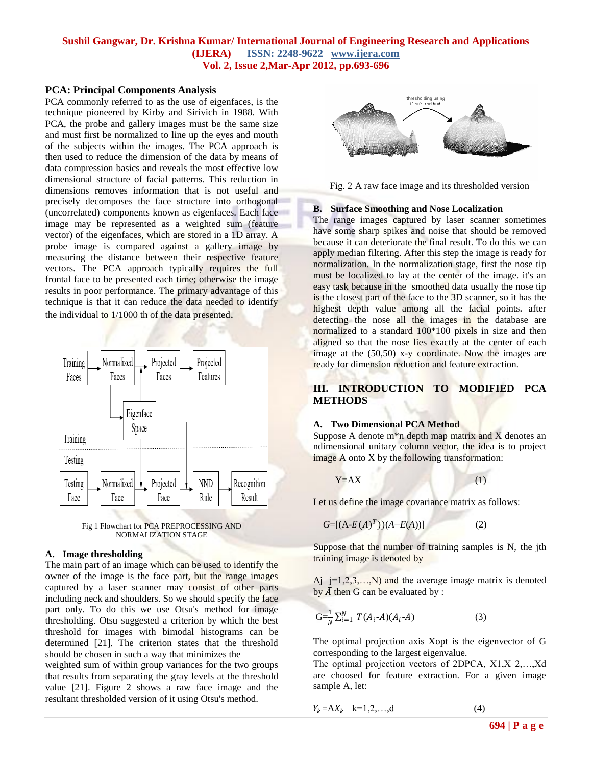# **Sushil Gangwar, Dr. Krishna Kumar/ International Journal of Engineering Research and Applications (IJERA) ISSN: 2248-9622 www.ijera.com Vol. 2, Issue 2,Mar-Apr 2012, pp.693-696**

# **PCA: Principal Components Analysis**

PCA commonly referred to as the use of eigenfaces, is the technique pioneered by Kirby and Sirivich in 1988. With PCA, the probe and gallery images must be the same size and must first be normalized to line up the eyes and mouth of the subjects within the images. The PCA approach is then used to reduce the dimension of the data by means of data compression basics and reveals the most effective low dimensional structure of facial patterns. This reduction in dimensions removes information that is not useful and precisely decomposes the face structure into orthogonal (uncorrelated) components known as eigenfaces. Each face image may be represented as a weighted sum (feature vector) of the eigenfaces, which are stored in a 1D array. A probe image is compared against a gallery image by measuring the distance between their respective feature vectors. The PCA approach typically requires the full frontal face to be presented each time; otherwise the image results in poor performance. The primary advantage of this technique is that it can reduce the data needed to identify the individual to 1/1000 th of the data presented.





#### **A. Image thresholding**

The main part of an image which can be used to identify the owner of the image is the face part, but the range images captured by a laser scanner may consist of other parts including neck and shoulders. So we should specify the face part only. To do this we use Otsu's method for image thresholding. Otsu suggested a criterion by which the best threshold for images with bimodal histograms can be determined [21]. The criterion states that the threshold should be chosen in such a way that minimizes the

weighted sum of within group variances for the two groups that results from separating the gray levels at the threshold value [21]. Figure 2 shows a raw face image and the resultant thresholded version of it using Otsu's method.



Fig. 2 A raw face image and its thresholded version

#### **B. Surface Smoothing and Nose Localization**

The range images captured by laser scanner sometimes have some sharp spikes and noise that should be removed because it can deteriorate the final result. To do this we can apply median filtering. After this step the image is ready for normalization. In the normalization stage, first the nose tip must be localized to lay at the center of the image. it's an easy task because in the smoothed data usually the nose tip is the closest part of the face to the 3D scanner, so it has the highest depth value among all the facial points. after detecting the nose all the images in the database are normalized to a standard 100\*100 pixels in size and then aligned so that the nose lies exactly at the center of each image at the (50,50) x-y coordinate. Now the images are ready for dimension reduction and feature extraction.

# **III. INTRODUCTION TO MODIFIED PCA METHODS**

#### **A. Two Dimensional PCA Method**

Suppose A denote  $m^*n$  depth map matrix and X denotes an ndimensional unitary column vector, the idea is to project image A onto X by the following transformation:

 $Y=AX$  (1)

Let us define the image covariance matrix as follows:

$$
G=[(A-E(A)^{T}))(A-E(A))]
$$
 (2)

Suppose that the number of training samples is N, the jth training image is denoted by

Aj  $j=1,2,3,...,N$ ) and the average image matrix is denoted by  $\overline{A}$  then G can be evaluated by :

$$
G = \frac{1}{N} \sum_{i=1}^{N} T(A_i - \bar{A})(A_i - \bar{A})
$$
 (3)

The optimal projection axis Xopt is the eigenvector of G corresponding to the largest eigenvalue.

The optimal projection vectors of 2DPCA, X1,X 2,…,Xd are choosed for feature extraction. For a given image sample A, let:

$$
Y_k = AX_k \quad k=1,2,\ldots,d \tag{4}
$$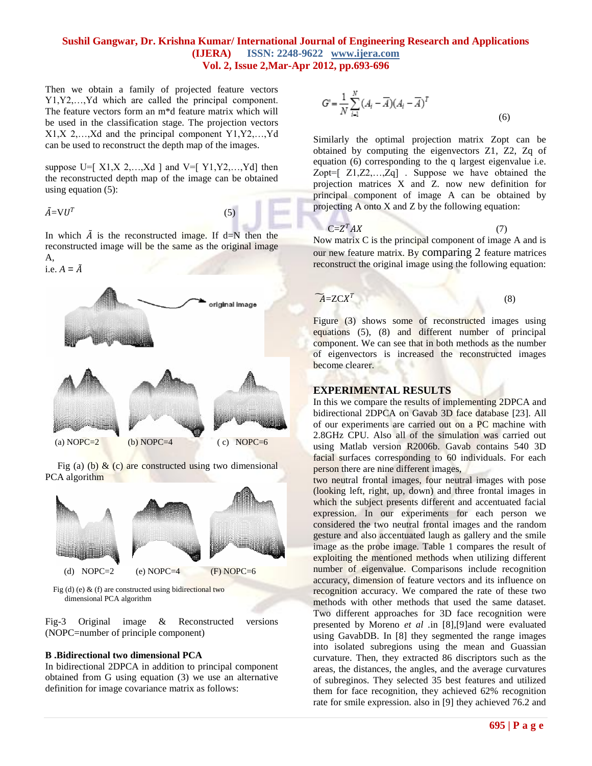# **Sushil Gangwar, Dr. Krishna Kumar/ International Journal of Engineering Research and Applications (IJERA) ISSN: 2248-9622 www.ijera.com Vol. 2, Issue 2,Mar-Apr 2012, pp.693-696**

Then we obtain a family of projected feature vectors Y1,Y2,…,Yd which are called the principal component. The feature vectors form an m\*d feature matrix which will be used in the classification stage. The projection vectors X1,X 2,…,Xd and the principal component Y1,Y2,…,Yd can be used to reconstruct the depth map of the images.

suppose U=[ $X1, X2, \ldots, Xd$ ] and V=[ $Y1, Y2, \ldots, Yd$ ] then the reconstructed depth map of the image can be obtained using equation (5):

$$
\tilde{A} = \nabla U^T
$$

 $(5)$ 

In which  $\tilde{A}$  is the reconstructed image. If d=N then the reconstructed image will be the same as the original image  $A<sub>1</sub>$ 

i.e.  $A = \tilde{A}$ 



Fig (a) (b)  $\&$  (c) are constructed using two dimensional PCA algorithm



Fig (d) (e)  $&$  (f) are constructed using bidirectional two dimensional PCA algorithm

Fig-3 Original image & Reconstructed versions (NOPC=number of principle component)

# **B .Bidirectional two dimensional PCA**

In bidirectional 2DPCA in addition to principal component obtained from G using equation (3) we use an alternative definition for image covariance matrix as follows:

$$
G' = \frac{1}{N} \sum_{i=1}^{N} (A_i - \overline{A})(A_i - \overline{A})^T
$$
\n(6)

Similarly the optimal projection matrix Zopt can be obtained by computing the eigenvectors Z1, Z2, Zq of equation (6) corresponding to the q largest eigenvalue i.e. Zopt=[ Z1,Z2,…,Zq] . Suppose we have obtained the projection matrices X and Z. now new definition for principal component of image A can be obtained by projecting A onto X and Z by the following equation:

$$
C = Z^T A X \tag{7}
$$

Now matrix C is the principal component of image A and is our new feature matrix. By comparing 2 feature matrices reconstruct the original image using the following equation:

$$
\widetilde{A} = Z C X^T
$$

$$
(\mathbf{8})
$$

Figure (3) shows some of reconstructed images using equations (5), (8) and different number of principal component. We can see that in both methods as the number of eigenvectors is increased the reconstructed images become clearer.

# **EXPERIMENTAL RESULTS**

In this we compare the results of implementing 2DPCA and bidirectional 2DPCA on Gavab 3D face database [23]. All of our experiments are carried out on a PC machine with 2.8GHz CPU. Also all of the simulation was carried out using Matlab version R2006b. Gavab contains 540 3D facial surfaces corresponding to 60 individuals. For each person there are nine different images,

two neutral frontal images, four neutral images with pose (looking left, right, up, down) and three frontal images in which the subject presents different and accentuated facial expression. In our experiments for each person we considered the two neutral frontal images and the random gesture and also accentuated laugh as gallery and the smile image as the probe image. Table 1 compares the result of exploiting the mentioned methods when utilizing different number of eigenvalue. Comparisons include recognition accuracy, dimension of feature vectors and its influence on recognition accuracy. We compared the rate of these two methods with other methods that used the same dataset. Two different approaches for 3D face recognition were presented by Moreno *et al .*in [8],[9]and were evaluated using GavabDB. In [8] they segmented the range images into isolated subregions using the mean and Guassian curvature. Then, they extracted 86 discriptors such as the areas, the distances, the angles, and the average curvatures of subreginos. They selected 35 best features and utilized them for face recognition, they achieved 62% recognition rate for smile expression. also in [9] they achieved 76.2 and